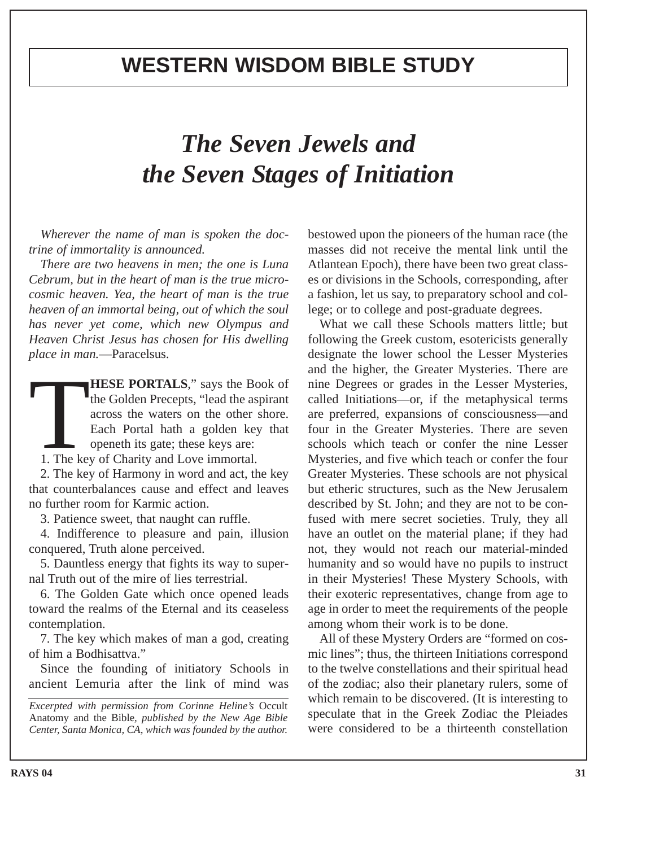## **WESTERN WISDOM BIBLE STUDY**

## *The Seven Jewels and the Seven Stages of Initiation*

*Wherever the name of man is spoken the doctrine of immortality is announced.*

*There are two heavens in men; the one is Luna Cebrum, but in the heart of man is the true microcosmic heaven. Yea, the heart of man is the true heaven of an immortal being, out of which the soul has never yet come, which new Olympus and Heaven Christ Jesus has chosen for His dwelling place in man.*—Paracelsus.

**THESE PORTALS**," says the Book of<br>the Golden Precepts, "lead the aspirant<br>across the waters on the other shore.<br>Each Portal hath a golden key that<br>openeth its gate; these keys are:<br>1. The key of Charity and Love immortal. the Golden Precepts, "lead the aspirant across the waters on the other shore. Each Portal hath a golden key that openeth its gate; these keys are:

2. The key of Harmony in word and act, the key that counterbalances cause and effect and leaves no further room for Karmic action.

3. Patience sweet, that naught can ruffle.

4. Indifference to pleasure and pain, illusion conquered, Truth alone perceived.

5. Dauntless energy that fights its way to supernal Truth out of the mire of lies terrestrial.

6. The Golden Gate which once opened leads toward the realms of the Eternal and its ceaseless contemplation.

7. The key which makes of man a god, creating of him a Bodhisattva."

Since the founding of initiatory Schools in ancient Lemuria after the link of mind was

*Excerpted with permission from Corinne Heline's* Occult Anatomy and the Bible*, published by the New Age Bible Center, Santa Monica, CA, which was founded by the author.*

bestowed upon the pioneers of the human race (the masses did not receive the mental link until the Atlantean Epoch), there have been two great classes or divisions in the Schools, corresponding, after a fashion, let us say, to preparatory school and college; or to college and post-graduate degrees.

What we call these Schools matters little; but following the Greek custom, esotericists generally designate the lower school the Lesser Mysteries and the higher, the Greater Mysteries. There are nine Degrees or grades in the Lesser Mysteries, called Initiations—or, if the metaphysical terms are preferred, expansions of consciousness—and four in the Greater Mysteries. There are seven schools which teach or confer the nine Lesser Mysteries, and five which teach or confer the four Greater Mysteries. These schools are not physical but etheric structures, such as the New Jerusalem described by St. John; and they are not to be confused with mere secret societies. Truly, they all have an outlet on the material plane; if they had not, they would not reach our material-minded humanity and so would have no pupils to instruct in their Mysteries! These Mystery Schools, with their exoteric representatives, change from age to age in order to meet the requirements of the people among whom their work is to be done.

All of these Mystery Orders are "formed on cosmic lines"; thus, the thirteen Initiations correspond to the twelve constellations and their spiritual head of the zodiac; also their planetary rulers, some of which remain to be discovered. (It is interesting to speculate that in the Greek Zodiac the Pleiades were considered to be a thirteenth constellation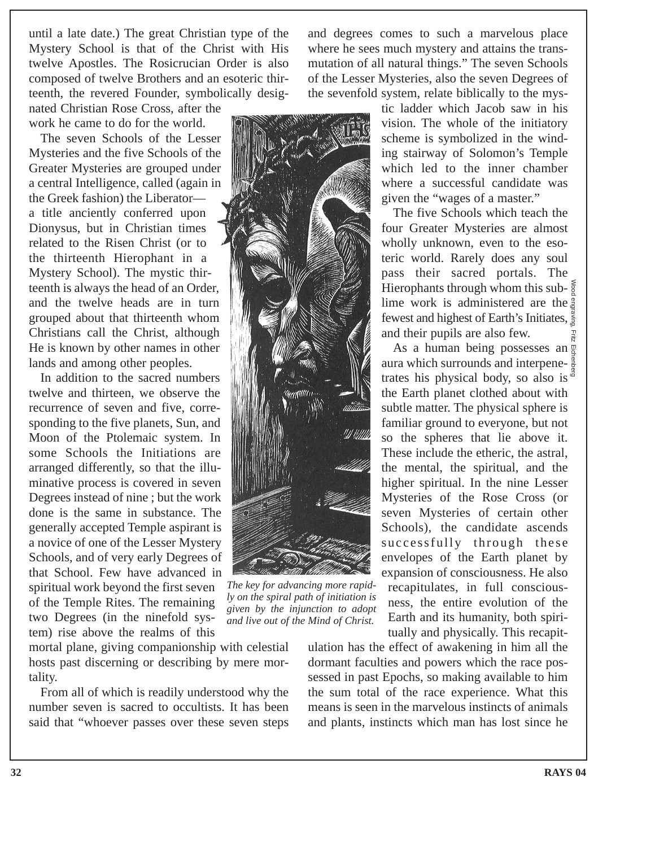until a late date.) The great Christian type of the Mystery School is that of the Christ with His twelve Apostles. The Rosicrucian Order is also composed of twelve Brothers and an esoteric thirteenth, the revered Founder, symbolically desig-

nated Christian Rose Cross, after the work he came to do for the world.

The seven Schools of the Lesser Mysteries and the five Schools of the Greater Mysteries are grouped under a central Intelligence, called (again in the Greek fashion) the Liberator a title anciently conferred upon Dionysus, but in Christian times related to the Risen Christ (or to the thirteenth Hierophant in a Mystery School). The mystic thirteenth is always the head of an Order, and the twelve heads are in turn grouped about that thirteenth whom Christians call the Christ, although He is known by other names in other lands and among other peoples.

In addition to the sacred numbers twelve and thirteen, we observe the recurrence of seven and five, corresponding to the five planets, Sun, and Moon of the Ptolemaic system. In some Schools the Initiations are arranged differently, so that the illuminative process is covered in seven Degrees instead of nine ; but the work done is the same in substance. The generally accepted Temple aspirant is a novice of one of the Lesser Mystery Schools, and of very early Degrees of that School. Few have advanced in spiritual work beyond the first seven of the Temple Rites. The remaining two Degrees (in the ninefold system) rise above the realms of this

mortal plane, giving companionship with celestial hosts past discerning or describing by mere mortality.

From all of which is readily understood why the number seven is sacred to occultists. It has been said that "whoever passes over these seven steps and degrees comes to such a marvelous place where he sees much mystery and attains the transmutation of all natural things." The seven Schools of the Lesser Mysteries, also the seven Degrees of the sevenfold system, relate biblically to the mys-



*The key for advancing more rapidly on the spiral path of initiation is given by the injunction to adopt and live out of the Mind of Christ.*

ulation has the effect of awakening in him all the dormant faculties and powers which the race possessed in past Epochs, so making available to him the sum total of the race experience. What this means is seen in the marvelous instincts of animals and plants, instincts which man has lost since he

tic ladder which Jacob saw in his vision. The whole of the initiatory scheme is symbolized in the winding stairway of Solomon's Temple which led to the inner chamber where a successful candidate was given the "wages of a master."

The five Schools which teach the four Greater Mysteries are almost wholly unknown, even to the esoteric world. Rarely does any soul pass their sacred portals. The Hierophants through whom this sub- $\frac{2}{9}$ lime work is administered are the fewest and highest of Earth's Initiates, and their pupils are also few. Wood engraving, Fritz Eichenberg

As a human being possesses an  $\frac{8}{9}$ aura which surrounds and interpene- $\frac{3}{5}$ trates his physical body, so also is  $\frac{3}{4}$ the Earth planet clothed about with subtle matter. The physical sphere is familiar ground to everyone, but not so the spheres that lie above it. These include the etheric, the astral, the mental, the spiritual, and the higher spiritual. In the nine Lesser Mysteries of the Rose Cross (or seven Mysteries of certain other Schools), the candidate ascends successfully through these envelopes of the Earth planet by expansion of consciousness. He also recapitulates, in full consciousness, the entire evolution of the Earth and its humanity, both spiritually and physically. This recapit